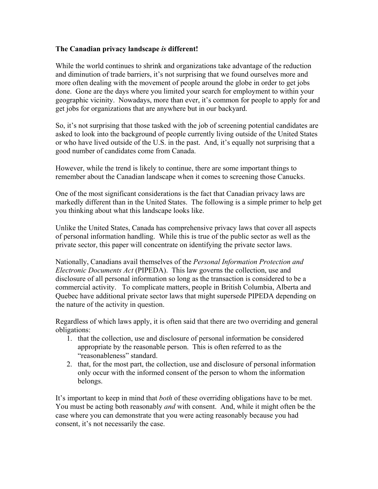## **The Canadian privacy landscape** *is* **different!**

While the world continues to shrink and organizations take advantage of the reduction and diminution of trade barriers, it's not surprising that we found ourselves more and more often dealing with the movement of people around the globe in order to get jobs done. Gone are the days where you limited your search for employment to within your geographic vicinity. Nowadays, more than ever, it's common for people to apply for and get jobs for organizations that are anywhere but in our backyard.

So, it's not surprising that those tasked with the job of screening potential candidates are asked to look into the background of people currently living outside of the United States or who have lived outside of the U.S. in the past. And, it's equally not surprising that a good number of candidates come from Canada.

However, while the trend is likely to continue, there are some important things to remember about the Canadian landscape when it comes to screening those Canucks.

One of the most significant considerations is the fact that Canadian privacy laws are markedly different than in the United States. The following is a simple primer to help get you thinking about what this landscape looks like.

Unlike the United States, Canada has comprehensive privacy laws that cover all aspects of personal information handling. While this is true of the public sector as well as the private sector, this paper will concentrate on identifying the private sector laws.

Nationally, Canadians avail themselves of the *Personal Information Protection and Electronic Documents Act* (PIPEDA). This law governs the collection, use and disclosure of all personal information so long as the transaction is considered to be a commercial activity. To complicate matters, people in British Columbia, Alberta and Quebec have additional private sector laws that might supersede PIPEDA depending on the nature of the activity in question.

Regardless of which laws apply, it is often said that there are two overriding and general obligations:

- 1. that the collection, use and disclosure of personal information be considered appropriate by the reasonable person. This is often referred to as the "reasonableness" standard.
- 2. that, for the most part, the collection, use and disclosure of personal information only occur with the informed consent of the person to whom the information belongs.

It's important to keep in mind that *both* of these overriding obligations have to be met. You must be acting both reasonably *and* with consent. And, while it might often be the case where you can demonstrate that you were acting reasonably because you had consent, it's not necessarily the case.